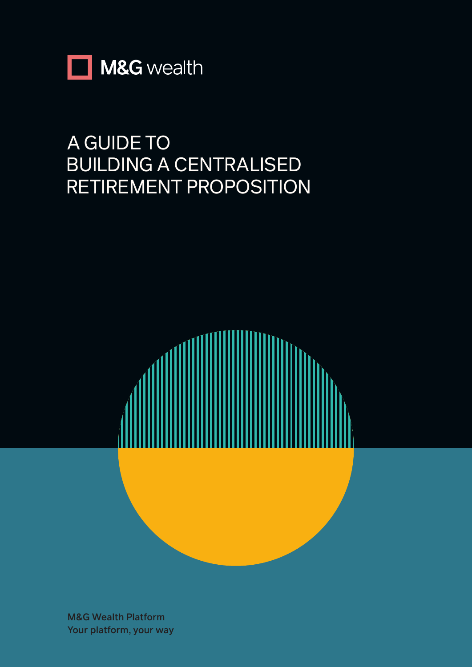

# A GUIDE TO BUILDING A CENTRALISED RETIREMENT PROPOSITION

M&G Wealth Platform Your platform, your way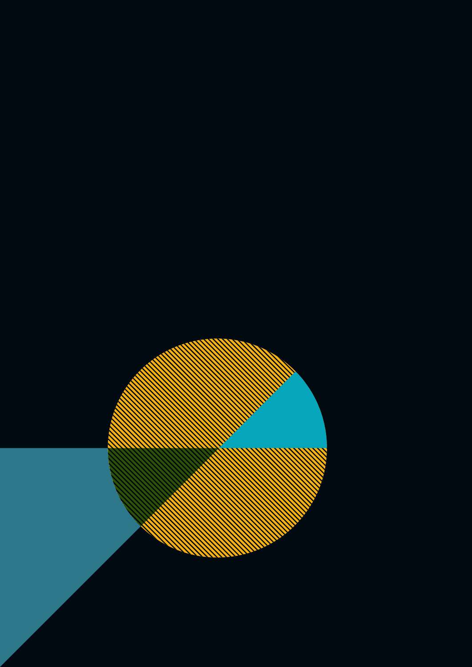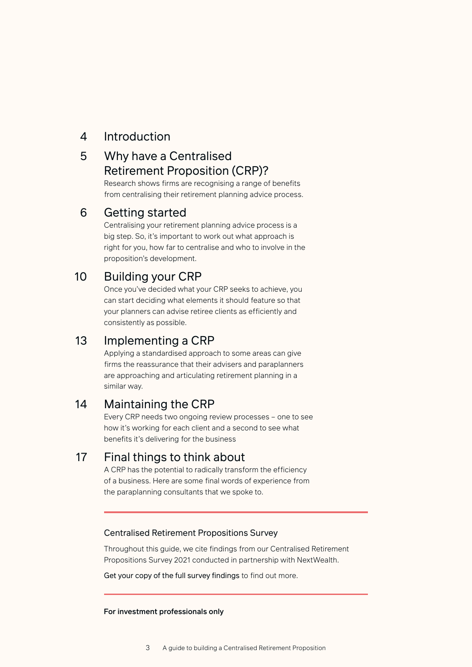## 4 Introduction

## 5 Why have a Centralised Retirement Proposition (CRP)?

Research shows firms are recognising a range of benefits from centralising their retirement planning advice process.

## 6 Getting started

 Centralising your retirement planning advice process is a big step. So, it's important to work out what approach is right for you, how far to centralise and who to involve in the proposition's development.

### 10 Building your CRP

 Once you've decided what your CRP seeks to achieve, you can start deciding what elements it should feature so that your planners can advise retiree clients as efficiently and consistently as possible.

## 13 Implementing a CRP

 Applying a standardised approach to some areas can give firms the reassurance that their advisers and paraplanners are approaching and articulating retirement planning in a similar way.

## 14 Maintaining the CRP

 Every CRP needs two ongoing review processes – one to see how it's working for each client and a second to see what benefits it's delivering for the business

## 17 Final things to think about

 A CRP has the potential to radically transform the efficiency of a business. Here are some final words of experience from the paraplanning consultants that we spoke to.

### Centralised Retirement Propositions Survey

Throughout this guide, we cite findings from our Centralised Retirement Propositions Survey 2021 conducted in partnership with NextWealth.

[Get your copy of the full survey findings](https://documents.platformservices.co.uk/Document/480) to find out more.

#### For investment professionals only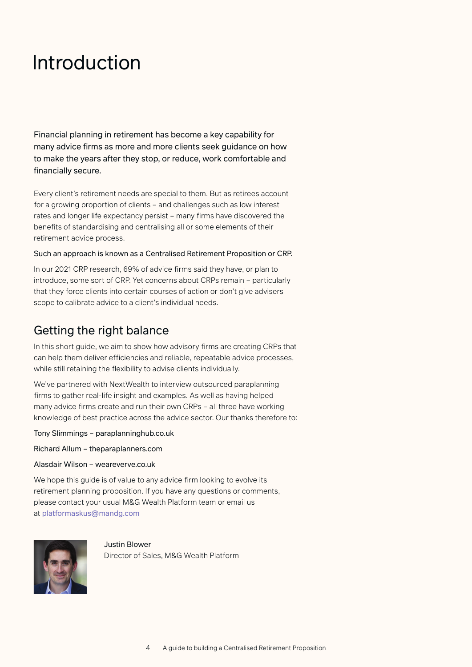# <span id="page-3-0"></span>Introduction

Financial planning in retirement has become a key capability for many advice firms as more and more clients seek guidance on how to make the years after they stop, or reduce, work comfortable and financially secure.

Every client's retirement needs are special to them. But as retirees account for a growing proportion of clients – and challenges such as low interest rates and longer life expectancy persist – many firms have discovered the benefits of standardising and centralising all or some elements of their retirement advice process.

#### Such an approach is known as a Centralised Retirement Proposition or CRP.

In our 2021 CRP research, 69% of advice firms said they have, or plan to introduce, some sort of CRP. Yet concerns about CRPs remain – particularly that they force clients into certain courses of action or don't give advisers scope to calibrate advice to a client's individual needs.

## Getting the right balance

In this short guide, we aim to show how advisory firms are creating CRPs that can help them deliver efficiencies and reliable, repeatable advice processes, while still retaining the flexibility to advise clients individually.

We've partnered with NextWealth to interview outsourced paraplanning firms to gather real-life insight and examples. As well as having helped many advice firms create and run their own CRPs – all three have working knowledge of best practice across the advice sector. Our thanks therefore to:

Tony Slimmings – paraplanninghub.co.uk

Richard Allum – theparaplanners.com

Alasdair Wilson – weareverve.co.uk

We hope this guide is of value to any advice firm looking to evolve its retirement planning proposition. If you have any questions or comments, please contact your usual M&G Wealth Platform team or email us at [platformaskus@mandg.com](mailto:platformaskus%40mandg.com?subject=)



Justin Blower Director of Sales, M&G Wealth Platform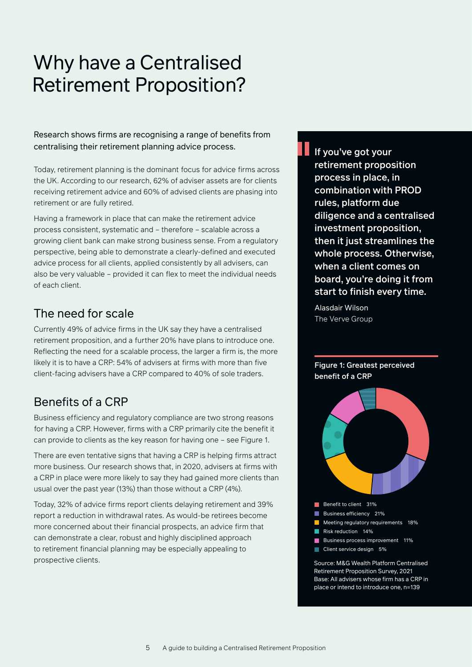# <span id="page-4-0"></span> Why have a Centralised Retirement Proposition?

Research shows firms are recognising a range of benefits from centralising their retirement planning advice process.

Today, retirement planning is the dominant focus for advice firms across the UK. According to our research, 62% of adviser assets are for clients receiving retirement advice and 60% of advised clients are phasing into retirement or are fully retired.

Having a framework in place that can make the retirement advice process consistent, systematic and – therefore – scalable across a growing client bank can make strong business sense. From a regulatory perspective, being able to demonstrate a clearly-defined and executed advice process for all clients, applied consistently by all advisers, can also be very valuable – provided it can flex to meet the individual needs of each client.

# The need for scale

Currently 49% of advice firms in the UK say they have a centralised retirement proposition, and a further 20% have plans to introduce one. Reflecting the need for a scalable process, the larger a firm is, the more likely it is to have a CRP: 54% of advisers at firms with more than five client-facing advisers have a CRP compared to 40% of sole traders.

# Benefits of a CRP

Business efficiency and regulatory compliance are two strong reasons for having a CRP. However, firms with a CRP primarily cite the benefit it can provide to clients as the key reason for having one – see Figure 1.

There are even tentative signs that having a CRP is helping firms attract more business. Our research shows that, in 2020, advisers at firms with a CRP in place were more likely to say they had gained more clients than usual over the past year (13%) than those without a CRP (4%).

Today, 32% of advice firms report clients delaying retirement and 39% report a reduction in withdrawal rates. As would-be retirees become more concerned about their financial prospects, an advice firm that can demonstrate a clear, robust and highly disciplined approach to retirement financial planning may be especially appealing to prospective clients.

If you've got your retirement proposition process in place, in combination with PROD rules, platform due diligence and a centralised investment proposition, then it just streamlines the whole process. Otherwise, when a client comes on board, you're doing it from start to finish every time.

Alasdair Wilson The Verve Group

#### Figure 1: Greatest perceived benefit of a CRP



Benefit to client 31%

- Business efficiency 21%
- Meeting regulatory requirements 18%
- Risk reduction 14%
- Business process improvement 11%
- Client service design 5%

Source: M&G Wealth Platform Centralised Retirement Proposition Survey, 2021 Base: All advisers whose firm has a CRP in place or intend to introduce one, n=139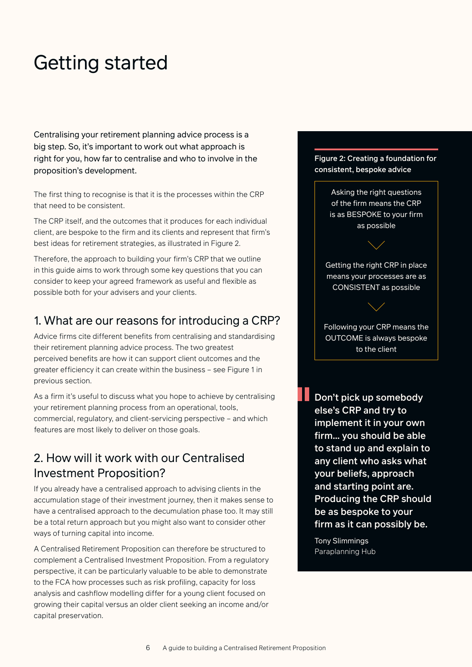# <span id="page-5-0"></span>Getting started

Centralising your retirement planning advice process is a big step. So, it's important to work out what approach is right for you, how far to centralise and who to involve in the proposition's development.

The first thing to recognise is that it is the processes within the CRP that need to be consistent.

The CRP itself, and the outcomes that it produces for each individual client, are bespoke to the firm and its clients and represent that firm's best ideas for retirement strategies, as illustrated in Figure 2.

Therefore, the approach to building your firm's CRP that we outline in this guide aims to work through some key questions that you can consider to keep your agreed framework as useful and flexible as possible both for your advisers and your clients.

## 1. What are our reasons for introducing a CRP?

Advice firms cite different benefits from centralising and standardising their retirement planning advice process. The two greatest perceived benefits are how it can support client outcomes and the greater efficiency it can create within the business – see Figure 1 in previous section.

As a firm it's useful to discuss what you hope to achieve by centralising your retirement planning process from an operational, tools, commercial, regulatory, and client-servicing perspective – and which features are most likely to deliver on those goals.

## 2. How will it work with our Centralised Investment Proposition?

If you already have a centralised approach to advising clients in the accumulation stage of their investment journey, then it makes sense to have a centralised approach to the decumulation phase too. It may still be a total return approach but you might also want to consider other ways of turning capital into income.

A Centralised Retirement Proposition can therefore be structured to complement a Centralised Investment Proposition. From a regulatory perspective, it can be particularly valuable to be able to demonstrate to the FCA how processes such as risk profiling, capacity for loss analysis and cashflow modelling differ for a young client focused on growing their capital versus an older client seeking an income and/or capital preservation.

#### Figure 2: Creating a foundation for consistent, bespoke advice

Asking the right questions of the firm means the CRP is as BESPOKE to your firm as possible

Getting the right CRP in place means your processes are as CONSISTENT as possible

Following your CRP means the OUTCOME is always bespoke to the client

Don't pick up somebody else's CRP and try to implement it in your own firm… you should be able to stand up and explain to any client who asks what your beliefs, approach and starting point are. Producing the CRP should be as bespoke to your firm as it can possibly be.

Tony Slimmings Paraplanning Hub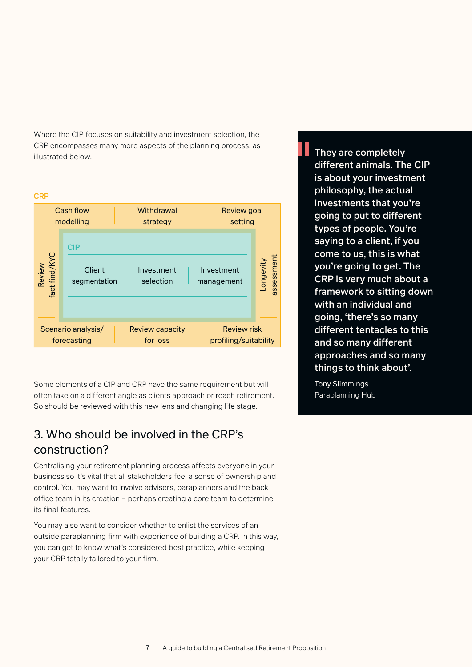Where the CIP focuses on suitability and investment selection, the CRP encompasses many more aspects of the planning process, as Expressed below. They are completely illustrated below.

#### **CRP**



Some elements of a CIP and CRP have the same requirement but will often take on a different angle as clients approach or reach retirement. So should be reviewed with this new lens and changing life stage.

## 3. Who should be involved in the CRP's construction?

Centralising your retirement planning process affects everyone in your business so it's vital that all stakeholders feel a sense of ownership and control. You may want to involve advisers, paraplanners and the back office team in its creation – perhaps creating a core team to determine its final features.

You may also want to consider whether to enlist the services of an outside paraplanning firm with experience of building a CRP. In this way, you can get to know what's considered best practice, while keeping your CRP totally tailored to your firm.

different animals. The CIP is about your investment philosophy, the actual investments that you're going to put to different types of people. You're saying to a client, if you come to us, this is what you're going to get. The CRP is very much about a framework to sitting down with an individual and going, 'there's so many different tentacles to this and so many different approaches and so many things to think about'.

Tony Slimmings Paraplanning Hub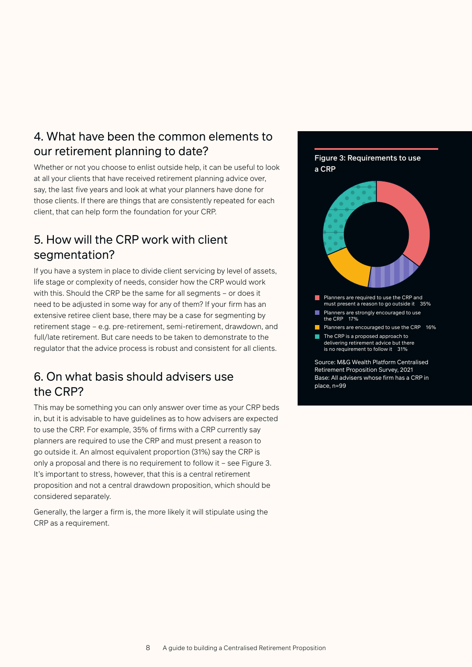# 4. What have been the common elements to our retirement planning to date?

Whether or not you choose to enlist outside help, it can be useful to look at all your clients that have received retirement planning advice over, say, the last five years and look at what your planners have done for those clients. If there are things that are consistently repeated for each client, that can help form the foundation for your CRP.

# 5. How will the CRP work with client segmentation?

If you have a system in place to divide client servicing by level of assets, life stage or complexity of needs, consider how the CRP would work with this. Should the CRP be the same for all segments – or does it need to be adjusted in some way for any of them? If your firm has an extensive retiree client base, there may be a case for segmenting by retirement stage – e.g. pre-retirement, semi-retirement, drawdown, and full/late retirement. But care needs to be taken to demonstrate to the regulator that the advice process is robust and consistent for all clients.

# 6. On what basis should advisers use the CRP?

This may be something you can only answer over time as your CRP beds in, but it is advisable to have guidelines as to how advisers are expected to use the CRP. For example, 35% of firms with a CRP currently say planners are required to use the CRP and must present a reason to go outside it. An almost equivalent proportion (31%) say the CRP is only a proposal and there is no requirement to follow it – see Figure 3. It's important to stress, however, that this is a central retirement proposition and not a central drawdown proposition, which should be considered separately.

Generally, the larger a firm is, the more likely it will stipulate using the CRP as a requirement.

#### Figure 3: Requirements to use a CRP



- **Planners are required to use the CRP and** must present a reason to go outside it 35%
- **Planners are strongly encouraged to use** the CRP 17%
- Planners are encouraged to use the CRP 16%
- The CRP is a proposed approach to delivering retirement advice but there is no requirement to follow it 31%

Source: M&G Wealth Platform Centralised Retirement Proposition Survey, 2021 Base: All advisers whose firm has a CRP in place, n=99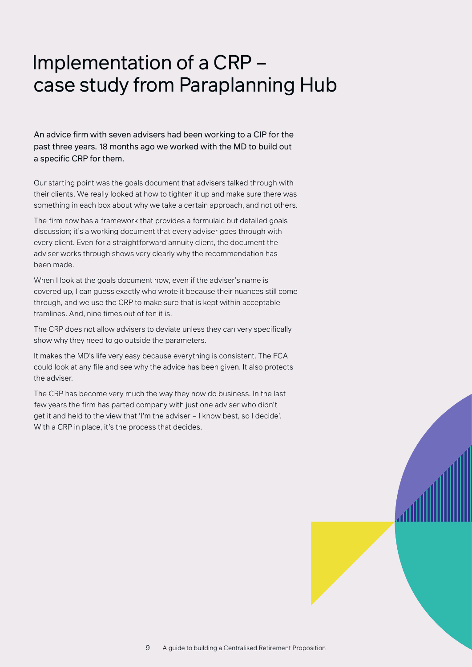# Implementation of a CRP – case study from Paraplanning Hub

An advice firm with seven advisers had been working to a CIP for the past three years. 18 months ago we worked with the MD to build out a specific CRP for them.

Our starting point was the goals document that advisers talked through with their clients. We really looked at how to tighten it up and make sure there was something in each box about why we take a certain approach, and not others.

The firm now has a framework that provides a formulaic but detailed goals discussion; it's a working document that every adviser goes through with every client. Even for a straightforward annuity client, the document the adviser works through shows very clearly why the recommendation has been made.

When I look at the goals document now, even if the adviser's name is covered up, I can guess exactly who wrote it because their nuances still come through, and we use the CRP to make sure that is kept within acceptable tramlines. And, nine times out of ten it is.

The CRP does not allow advisers to deviate unless they can very specifically show why they need to go outside the parameters.

It makes the MD's life very easy because everything is consistent. The FCA could look at any file and see why the advice has been given. It also protects the adviser.

The CRP has become very much the way they now do business. In the last few years the firm has parted company with just one adviser who didn't get it and held to the view that 'I'm the adviser – I know best, so I decide'. With a CRP in place, it's the process that decides.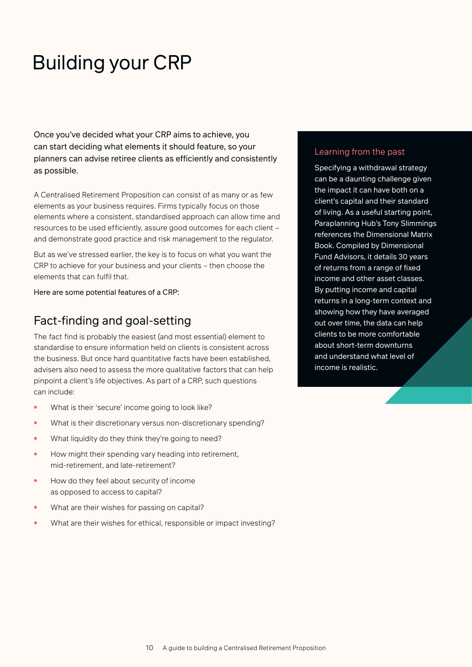# <span id="page-9-0"></span>Building your CRP

Once you've decided what your CRP aims to achieve, you can start deciding what elements it should feature, so your planners can advise retiree clients as efficiently and consistently as possible.

A Centralised Retirement Proposition can consist of as many or as few elements as your business requires. Firms typically focus on those elements where a consistent, standardised approach can allow time and resources to be used efficiently, assure good outcomes for each client – and demonstrate good practice and risk management to the regulator.

But as we've stressed earlier, the key is to focus on what you want the CRP to achieve for your business and your clients – then choose the elements that can fulfil that.

Here are some potential features of a CRP:

### Fact-finding and goal-setting

The fact find is probably the easiest (and most essential) element to standardise to ensure information held on clients is consistent across the business. But once hard quantitative facts have been established, advisers also need to assess the more qualitative factors that can help pinpoint a client's life objectives. As part of a CRP, such questions can include:

- What is their 'secure' income going to look like?
- What is their discretionary versus non-discretionary spending?
- What liquidity do they think they're going to need?
- **•** How might their spending vary heading into retirement, mid-retirement, and late-retirement?
- How do they feel about security of income as opposed to access to capital?
- What are their wishes for passing on capital?
- What are their wishes for ethical, responsible or impact investing?

### Learning from the past

Specifying a withdrawal strategy can be a daunting challenge given the impact it can have both on a client's capital and their standard of living. As a useful starting point, Paraplanning Hub's Tony Slimmings references the Dimensional Matrix Book. Compiled by Dimensional Fund Advisors, it details 30 years of returns from a range of fixed income and other asset classes. By putting income and capital returns in a long-term context and showing how they have averaged out over time, the data can help clients to be more comfortable about short-term downturns and understand what level of income is realistic.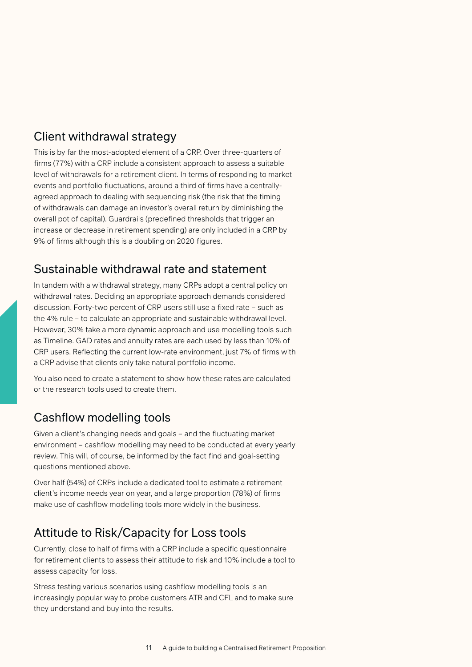# Client withdrawal strategy

This is by far the most-adopted element of a CRP. Over three-quarters of firms (77%) with a CRP include a consistent approach to assess a suitable level of withdrawals for a retirement client. In terms of responding to market events and portfolio fluctuations, around a third of firms have a centrallyagreed approach to dealing with sequencing risk (the risk that the timing of withdrawals can damage an investor's overall return by diminishing the overall pot of capital). Guardrails (predefined thresholds that trigger an increase or decrease in retirement spending) are only included in a CRP by 9% of firms although this is a doubling on 2020 figures.

## Sustainable withdrawal rate and statement

In tandem with a withdrawal strategy, many CRPs adopt a central policy on withdrawal rates. Deciding an appropriate approach demands considered discussion. Forty-two percent of CRP users still use a fixed rate – such as the 4% rule – to calculate an appropriate and sustainable withdrawal level. However, 30% take a more dynamic approach and use modelling tools such as Timeline. GAD rates and annuity rates are each used by less than 10% of CRP users. Reflecting the current low-rate environment, just 7% of firms with a CRP advise that clients only take natural portfolio income.

You also need to create a statement to show how these rates are calculated or the research tools used to create them.

# Cashflow modelling tools

Given a client's changing needs and goals – and the fluctuating market environment – cashflow modelling may need to be conducted at every yearly review. This will, of course, be informed by the fact find and goal-setting questions mentioned above.

Over half (54%) of CRPs include a dedicated tool to estimate a retirement client's income needs year on year, and a large proportion (78%) of firms make use of cashflow modelling tools more widely in the business.

# Attitude to Risk/Capacity for Loss tools

Currently, close to half of firms with a CRP include a specific questionnaire for retirement clients to assess their attitude to risk and 10% include a tool to assess capacity for loss.

Stress testing various scenarios using cashflow modelling tools is an increasingly popular way to probe customers ATR and CFL and to make sure they understand and buy into the results.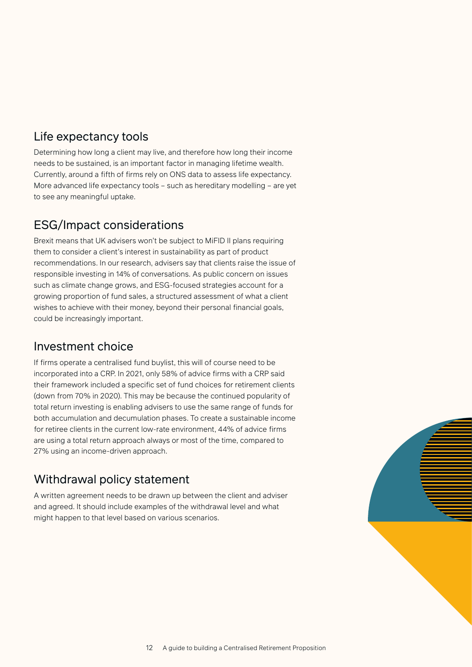## Life expectancy tools

Determining how long a client may live, and therefore how long their income needs to be sustained, is an important factor in managing lifetime wealth. Currently, around a fifth of firms rely on ONS data to assess life expectancy. More advanced life expectancy tools – such as hereditary modelling – are yet to see any meaningful uptake.

## ESG/Impact considerations

Brexit means that UK advisers won't be subject to MiFID II plans requiring them to consider a client's interest in sustainability as part of product recommendations. In our research, advisers say that clients raise the issue of responsible investing in 14% of conversations. As public concern on issues such as climate change grows, and ESG-focused strategies account for a growing proportion of fund sales, a structured assessment of what a client wishes to achieve with their money, beyond their personal financial goals, could be increasingly important.

## Investment choice

If firms operate a centralised fund buylist, this will of course need to be incorporated into a CRP. In 2021, only 58% of advice firms with a CRP said their framework included a specific set of fund choices for retirement clients (down from 70% in 2020). This may be because the continued popularity of total return investing is enabling advisers to use the same range of funds for both accumulation and decumulation phases. To create a sustainable income for retiree clients in the current low-rate environment, 44% of advice firms are using a total return approach always or most of the time, compared to 27% using an income-driven approach.

# Withdrawal policy statement

A written agreement needs to be drawn up between the client and adviser and agreed. It should include examples of the withdrawal level and what might happen to that level based on various scenarios.

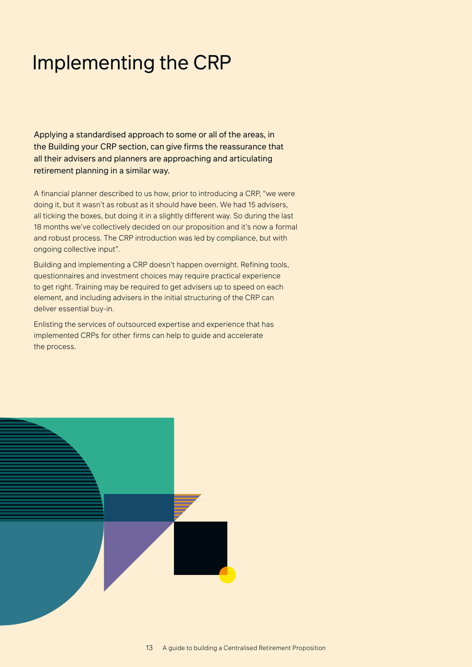# <span id="page-12-0"></span>Implementing the CRP

Applying a standardised approach to some or all of the areas, in the Building your CRP section, can give firms the reassurance that all their advisers and planners are approaching and articulating retirement planning in a similar way.

A financial planner described to us how, prior to introducing a CRP, "we were doing it, but it wasn't as robust as it should have been. We had 15 advisers, all ticking the boxes, but doing it in a slightly different way. So during the last 18 months we've collectively decided on our proposition and it's now a formal and robust process. The CRP introduction was led by compliance, but with ongoing collective input".

Building and implementing a CRP doesn't happen overnight. Refining tools, questionnaires and investment choices may require practical experience to get right. Training may be required to get advisers up to speed on each element, and including advisers in the initial structuring of the CRP can deliver essential buy-in.

Enlisting the services of outsourced expertise and experience that has implemented CRPs for other firms can help to guide and accelerate the process.

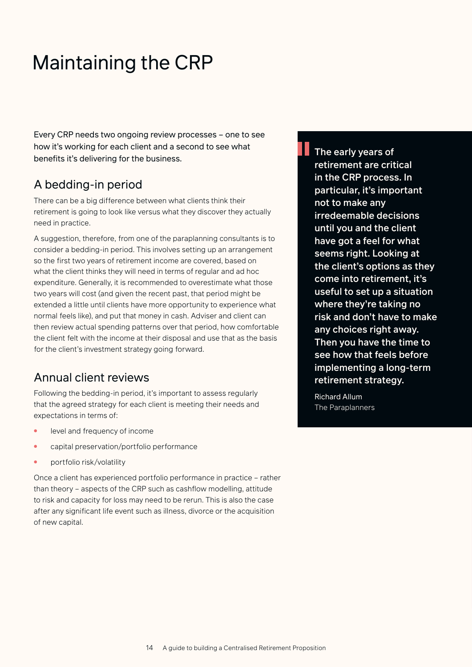# <span id="page-13-0"></span>Maintaining the CRP

Every CRP needs two ongoing review processes – one to see how it's working for each client and a second to see what how it's working for each client and a second to see what **The early years of** benefits it's delivering for the business.

# A bedding-in period

There can be a big difference between what clients think their retirement is going to look like versus what they discover they actually need in practice.

A suggestion, therefore, from one of the paraplanning consultants is to consider a bedding-in period. This involves setting up an arrangement so the first two years of retirement income are covered, based on what the client thinks they will need in terms of regular and ad hoc expenditure. Generally, it is recommended to overestimate what those two years will cost (and given the recent past, that period might be extended a little until clients have more opportunity to experience what normal feels like), and put that money in cash. Adviser and client can then review actual spending patterns over that period, how comfortable the client felt with the income at their disposal and use that as the basis for the client's investment strategy going forward.

## Annual client reviews

Following the bedding-in period, it's important to assess regularly that the agreed strategy for each client is meeting their needs and expectations in terms of:

- level and frequency of income
- capital preservation/portfolio performance
- portfolio risk/volatility

Once a client has experienced portfolio performance in practice – rather than theory – aspects of the CRP such as cashflow modelling, attitude to risk and capacity for loss may need to be rerun. This is also the case after any significant life event such as illness, divorce or the acquisition of new capital.

retirement are critical in the CRP process. In particular, it's important not to make any irredeemable decisions until you and the client have got a feel for what seems right. Looking at the client's options as they come into retirement, it's useful to set up a situation where they're taking no risk and don't have to make any choices right away. Then you have the time to see how that feels before implementing a long-term retirement strategy.

Richard Allum The Paraplanners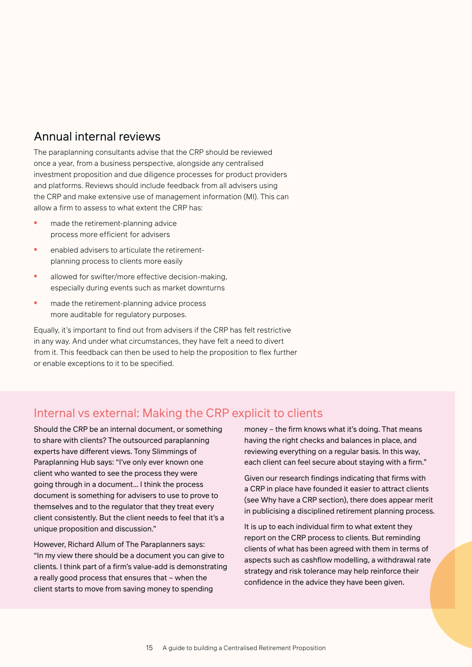## Annual internal reviews

The paraplanning consultants advise that the CRP should be reviewed once a year, from a business perspective, alongside any centralised investment proposition and due diligence processes for product providers and platforms. Reviews should include feedback from all advisers using the CRP and make extensive use of management information (MI). This can allow a firm to assess to what extent the CRP has:

- made the retirement-planning advice process more efficient for advisers
- enabled advisers to articulate the retirementplanning process to clients more easily
- allowed for swifter/more effective decision-making, especially during events such as market downturns
- made the retirement-planning advice process more auditable for regulatory purposes.

Equally, it's important to find out from advisers if the CRP has felt restrictive in any way. And under what circumstances, they have felt a need to divert from it. This feedback can then be used to help the proposition to flex further or enable exceptions to it to be specified.

## Internal vs external: Making the CRP explicit to clients

Should the CRP be an internal document, or something to share with clients? The outsourced paraplanning experts have different views. Tony Slimmings of Paraplanning Hub says: "I've only ever known one client who wanted to see the process they were going through in a document… I think the process document is something for advisers to use to prove to themselves and to the regulator that they treat every client consistently. But the client needs to feel that it's a unique proposition and discussion."

However, Richard Allum of The Paraplanners says: "In my view there should be a document you can give to clients. I think part of a firm's value-add is demonstrating a really good process that ensures that – when the client starts to move from saving money to spending

money – the firm knows what it's doing. That means having the right checks and balances in place, and reviewing everything on a regular basis. In this way, each client can feel secure about staying with a firm."

Given our research findings indicating that firms with a CRP in place have founded it easier to attract clients (see Why have a CRP section), there does appear merit in publicising a disciplined retirement planning process.

It is up to each individual firm to what extent they report on the CRP process to clients. But reminding clients of what has been agreed with them in terms of aspects such as cashflow modelling, a withdrawal rate strategy and risk tolerance may help reinforce their confidence in the advice they have been given.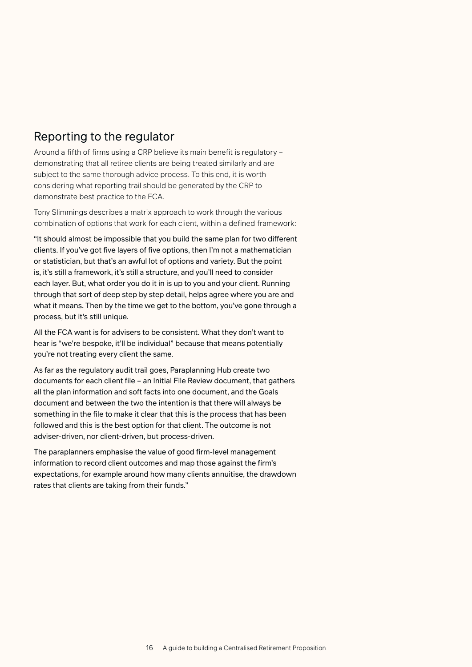## Reporting to the regulator

Around a fifth of firms using a CRP believe its main benefit is regulatory – demonstrating that all retiree clients are being treated similarly and are subject to the same thorough advice process. To this end, it is worth considering what reporting trail should be generated by the CRP to demonstrate best practice to the FCA.

Tony Slimmings describes a matrix approach to work through the various combination of options that work for each client, within a defined framework:

"It should almost be impossible that you build the same plan for two different clients. If you've got five layers of five options, then I'm not a mathematician or statistician, but that's an awful lot of options and variety. But the point is, it's still a framework, it's still a structure, and you'll need to consider each layer. But, what order you do it in is up to you and your client. Running through that sort of deep step by step detail, helps agree where you are and what it means. Then by the time we get to the bottom, you've gone through a process, but it's still unique.

All the FCA want is for advisers to be consistent. What they don't want to hear is "we're bespoke, it'll be individual" because that means potentially you're not treating every client the same.

As far as the regulatory audit trail goes, Paraplanning Hub create two documents for each client file – an Initial File Review document, that gathers all the plan information and soft facts into one document, and the Goals document and between the two the intention is that there will always be something in the file to make it clear that this is the process that has been followed and this is the best option for that client. The outcome is not adviser-driven, nor client-driven, but process-driven.

The paraplanners emphasise the value of good firm-level management information to record client outcomes and map those against the firm's expectations, for example around how many clients annuitise, the drawdown rates that clients are taking from their funds."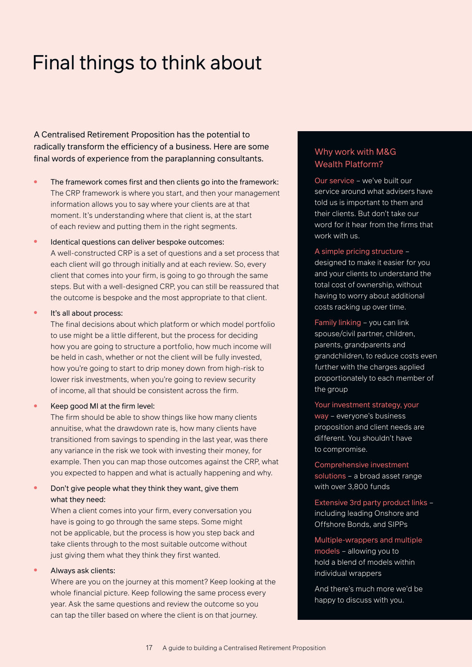# <span id="page-16-0"></span>Final things to think about

A Centralised Retirement Proposition has the potential to radically transform the efficiency of a business. Here are some final words of experience from the paraplanning consultants.

- The framework comes first and then clients go into the framework: The CRP framework is where you start, and then your management information allows you to say where your clients are at that moment. It's understanding where that client is, at the start of each review and putting them in the right segments.
- Identical questions can deliver bespoke outcomes: A well-constructed CRP is a set of questions and a set process that each client will go through initially and at each review. So, every client that comes into your firm, is going to go through the same steps. But with a well-designed CRP, you can still be reassured that the outcome is bespoke and the most appropriate to that client.
- **•** It's all about process:

The final decisions about which platform or which model portfolio to use might be a little different, but the process for deciding how you are going to structure a portfolio, how much income will be held in cash, whether or not the client will be fully invested, how you're going to start to drip money down from high-risk to lower risk investments, when you're going to review security of income, all that should be consistent across the firm.

#### Keep good MI at the firm level:

The firm should be able to show things like how many clients annuitise, what the drawdown rate is, how many clients have transitioned from savings to spending in the last year, was there any variance in the risk we took with investing their money, for example. Then you can map those outcomes against the CRP, what you expected to happen and what is actually happening and why.

Don't give people what they think they want, give them what they need:

When a client comes into your firm, every conversation you have is going to go through the same steps. Some might not be applicable, but the process is how you step back and take clients through to the most suitable outcome without just giving them what they think they first wanted.

#### Always ask clients:

Where are you on the journey at this moment? Keep looking at the whole financial picture. Keep following the same process every year. Ask the same questions and review the outcome so you can tap the tiller based on where the client is on that journey.

### Why work with M&G Wealth Platform?

[Our service](https://www.ascentric.co.uk/why-ascentric/customer-testimonials) – we've built our service around what advisers have told us is important to them and their clients. But don't take our word for it hear from the firms that work with us.

#### A [simple pricing structure](https://www.ascentric.co.uk/your-platform/pricing-and-charging) –

designed to make it easier for you and your clients to understand the total cost of ownership, without having to worry about additional costs racking up over time.

Family linking – you can link spouse/civil partner, children, parents, grandparents and grandchildren, to reduce costs even further with the charges applied proportionately to each member of the group

[Your investment strategy, your](https://www.ascentric.co.uk/why-ascentric/working-with-you/your-investment-choice)  [way](https://www.ascentric.co.uk/why-ascentric/working-with-you/your-investment-choice) – everyone's business proposition and client needs are different. You shouldn't have to compromise.

Comprehensive investment solutions – a broad asset range with over 3,800 funds

[Extensive 3rd party product](https://www.ascentric.co.uk/why-ascentric/list-of-partners) links – including leading Onshore and Offshore Bonds, and SIPPs

Multiple-wrappers and multiple models – allowing you to hold a blend of models within individual wrappers

And there's much more we'd be happy to discuss with you.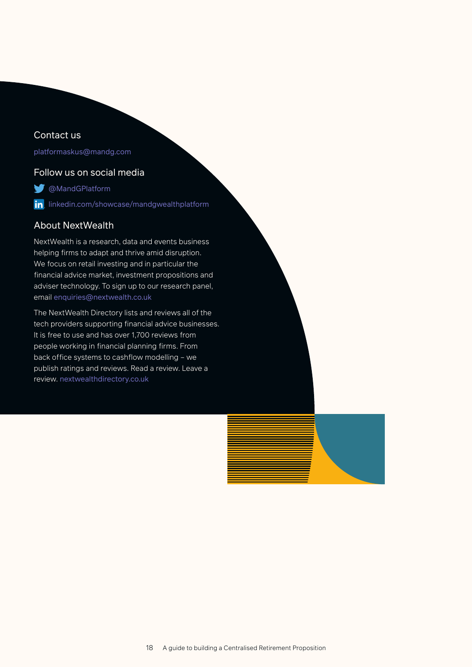### Contact us

[platformaskus@mandg.com](mailto:platformaskus%40mandg.com?subject=)

### Follow us on social media

- @MandGPlatform
- in [linkedin.com/showcase/mandgwealthplatform](https://linkedin.com/showcase/mandgwealthplatform)

#### About NextWealth

NextWealth is a research, data and events business helping firms to adapt and thrive amid disruption. We focus on retail investing and in particular the financial advice market, investment propositions and adviser technology. To sign up to our research panel, email [enquiries@nextwealth.co.uk](mailto:enquiries%40nextwealth.co.uk?subject=)

The NextWealth Directory lists and reviews all of the tech providers supporting financial advice businesses. It is free to use and has over 1,700 reviews from people working in financial planning firms. From back office systems to cashflow modelling – we publish ratings and reviews. Read a review. Leave a review. [nextwealthdirectory.co.uk](https://nextwealthdirectory.co.uk)